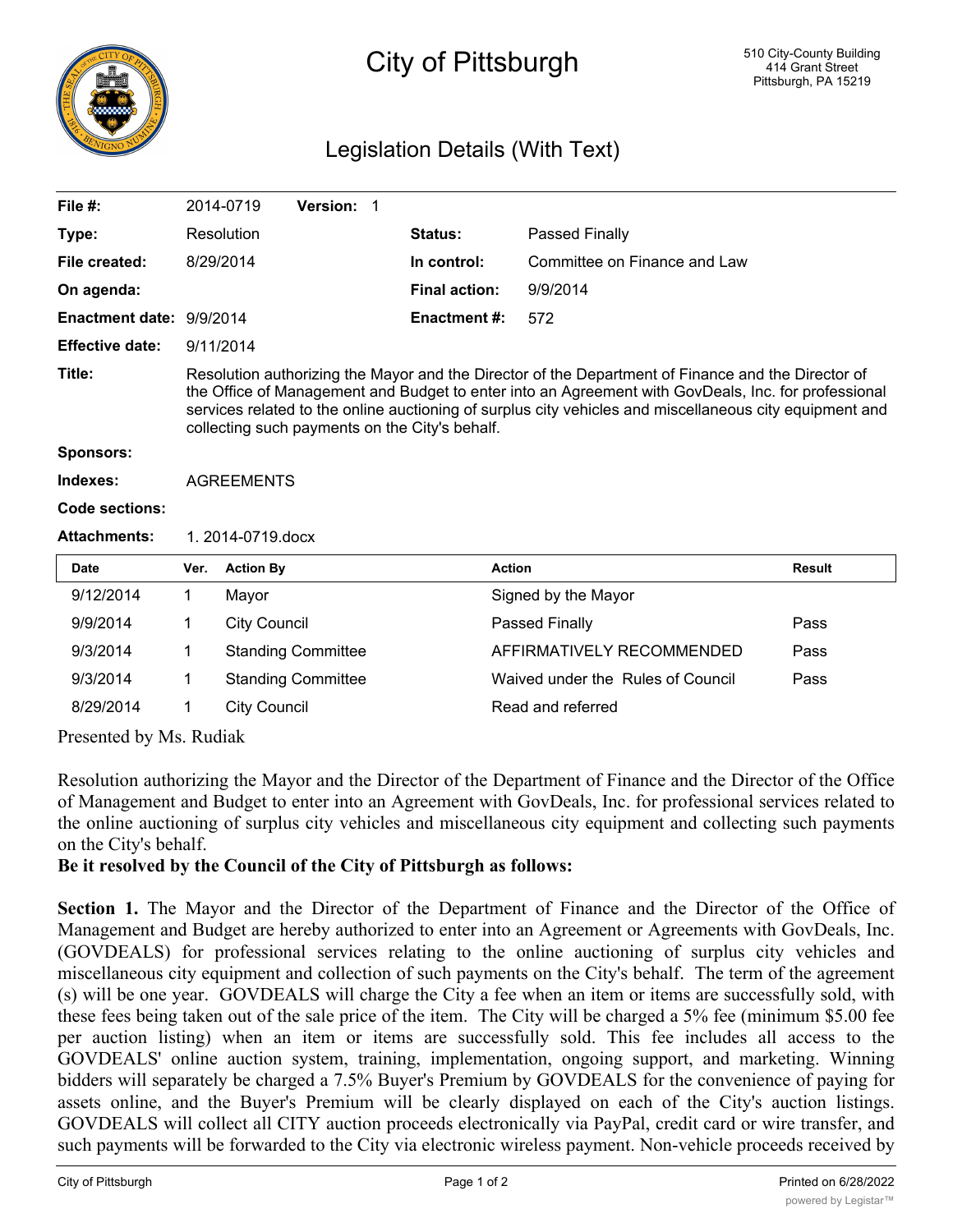

## City of Pittsburgh

## Legislation Details (With Text)

| File #:                         |                                                                                                                                                                                                                                                                                                                                                                        | 2014-0719           | Version: 1                |  |                      |                                   |               |
|---------------------------------|------------------------------------------------------------------------------------------------------------------------------------------------------------------------------------------------------------------------------------------------------------------------------------------------------------------------------------------------------------------------|---------------------|---------------------------|--|----------------------|-----------------------------------|---------------|
| Type:                           |                                                                                                                                                                                                                                                                                                                                                                        | Resolution          |                           |  | Status:              | Passed Finally                    |               |
| File created:                   | 8/29/2014                                                                                                                                                                                                                                                                                                                                                              |                     |                           |  | In control:          | Committee on Finance and Law      |               |
| On agenda:                      |                                                                                                                                                                                                                                                                                                                                                                        |                     |                           |  | <b>Final action:</b> | 9/9/2014                          |               |
| <b>Enactment date: 9/9/2014</b> |                                                                                                                                                                                                                                                                                                                                                                        |                     |                           |  | <b>Enactment #:</b>  | 572                               |               |
| <b>Effective date:</b>          | 9/11/2014                                                                                                                                                                                                                                                                                                                                                              |                     |                           |  |                      |                                   |               |
| Title:                          | Resolution authorizing the Mayor and the Director of the Department of Finance and the Director of<br>the Office of Management and Budget to enter into an Agreement with GovDeals, Inc. for professional<br>services related to the online auctioning of surplus city vehicles and miscellaneous city equipment and<br>collecting such payments on the City's behalf. |                     |                           |  |                      |                                   |               |
| <b>Sponsors:</b>                |                                                                                                                                                                                                                                                                                                                                                                        |                     |                           |  |                      |                                   |               |
| Indexes:                        | <b>AGREEMENTS</b>                                                                                                                                                                                                                                                                                                                                                      |                     |                           |  |                      |                                   |               |
| <b>Code sections:</b>           |                                                                                                                                                                                                                                                                                                                                                                        |                     |                           |  |                      |                                   |               |
| <b>Attachments:</b>             | 1. 2014-0719.docx                                                                                                                                                                                                                                                                                                                                                      |                     |                           |  |                      |                                   |               |
| <b>Date</b>                     | Ver.                                                                                                                                                                                                                                                                                                                                                                   | <b>Action By</b>    |                           |  |                      | <b>Action</b>                     | <b>Result</b> |
| 9/12/2014                       | 1                                                                                                                                                                                                                                                                                                                                                                      | Mayor               |                           |  |                      | Signed by the Mayor               |               |
| 9/9/2014                        | 1                                                                                                                                                                                                                                                                                                                                                                      | <b>City Council</b> |                           |  |                      | Passed Finally                    | Pass          |
| 9/3/2014                        | 1                                                                                                                                                                                                                                                                                                                                                                      |                     | <b>Standing Committee</b> |  |                      | AFFIRMATIVELY RECOMMENDED         | Pass          |
| 9/3/2014                        | 1                                                                                                                                                                                                                                                                                                                                                                      |                     | <b>Standing Committee</b> |  |                      | Waived under the Rules of Council | Pass          |
| 8/29/2014                       | 1                                                                                                                                                                                                                                                                                                                                                                      | <b>City Council</b> |                           |  |                      | Read and referred                 |               |

Presented by Ms. Rudiak

Resolution authorizing the Mayor and the Director of the Department of Finance and the Director of the Office of Management and Budget to enter into an Agreement with GovDeals, Inc. for professional services related to the online auctioning of surplus city vehicles and miscellaneous city equipment and collecting such payments on the City's behalf.

## **Be it resolved by the Council of the City of Pittsburgh as follows:**

**Section 1.** The Mayor and the Director of the Department of Finance and the Director of the Office of Management and Budget are hereby authorized to enter into an Agreement or Agreements with GovDeals, Inc. (GOVDEALS) for professional services relating to the online auctioning of surplus city vehicles and miscellaneous city equipment and collection of such payments on the City's behalf. The term of the agreement (s) will be one year. GOVDEALS will charge the City a fee when an item or items are successfully sold, with these fees being taken out of the sale price of the item. The City will be charged a 5% fee (minimum \$5.00 fee per auction listing) when an item or items are successfully sold. This fee includes all access to the GOVDEALS' online auction system, training, implementation, ongoing support, and marketing. Winning bidders will separately be charged a 7.5% Buyer's Premium by GOVDEALS for the convenience of paying for assets online, and the Buyer's Premium will be clearly displayed on each of the City's auction listings. GOVDEALS will collect all CITY auction proceeds electronically via PayPal, credit card or wire transfer, and such payments will be forwarded to the City via electronic wireless payment. Non-vehicle proceeds received by